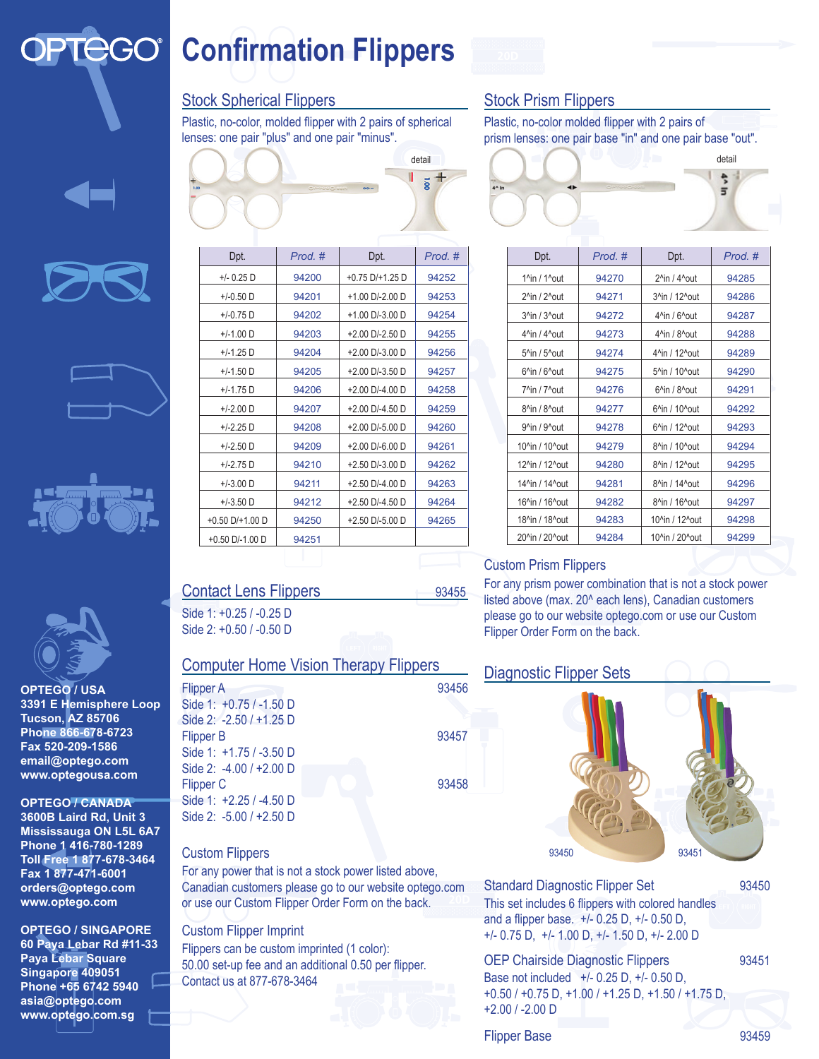### **CGO® Confirmation Flippers**

#### Stock Spherical Flippers

Plastic, no-color, molded flipper with 2 pairs of spherical lenses: one pair "plus" and one pair "minus".



| Dpt.                 | Prod. # | Dpt.                 | Prod. # |
|----------------------|---------|----------------------|---------|
| $+/- 0.25$ D         | 94200   | $+0.75$ D/ $+1.25$ D | 94252   |
| $+/-0.50$ D          | 94201   | +1.00 D/-2.00 D      | 94253   |
| $+/-0.75$ D          | 94202   | $+1.00$ D/-3.00 D    | 94254   |
| $+/-1.00$ D          | 94203   | $+2.00$ D/-2.50 D    | 94255   |
| $+/-1.25$ D          | 94204   | $+2.00$ D/-3.00 D    | 94256   |
| $+/-1.50$ D          | 94205   | +2.00 D/-3.50 D      | 94257   |
| $+/-1.75$ D          | 94206   | $+2.00$ D/-4.00 D    | 94258   |
| $+/-2.00$ D          | 94207   | +2.00 D/-4.50 D      | 94259   |
| $+/-2.25$ D          | 94208   | $+2.00$ D/-5.00 D    | 94260   |
| $+/-2.50$ D          | 94209   | $+2.00$ D/-6.00 D    | 94261   |
| $+/-2.75$ D          | 94210   | $+2.50$ D/-3.00 D    | 94262   |
| $+/-3.00$ D          | 94211   | $+2.50$ D/-4.00 D    | 94263   |
| $+/-3.50$ D          | 94212   | $+2.50$ D/-4.50 D    | 94264   |
| $+0.50$ D/ $+1.00$ D | 94250   | $+2.50$ D/-5.00 D    | 94265   |
| $+0.50$ D/-1.00 D    | 94251   |                      |         |

# Contact Lens Flippers 93455

Side 1: +0.25 / -0.25 D Side 2: +0.50 / -0.50 D

#### Computer Home Vision Therapy Flippers

Flipper A 93456 Side 1: +0.75 / -1.50 D Side 2: -2.50 / +1.25 D Flipper B 93457 Side 1: +1.75 / -3.50 D Side 2: -4.00 / +2.00 D Flipper C 93458 Side 1: +2.25 / -4.50 D Side 2: -5.00 / +2.50 D

#### Custom Flippers

For any power that is not a stock power listed above, Canadian customers please go to our website optego.com or use our Custom Flipper Order Form on the back.

#### Custom Flipper Imprint

Flippers can be custom imprinted (1 color): 50.00 set-up fee and an additional 0.50 per flipper. Contact us at 877-678-3464

#### Stock Prism Flippers

Plastic, no-color molded flipper with 2 pairs of prism lenses: one pair base "in" and one pair base "out".



| Dpt.                                       | Prod. # | Dpt.                                       | Prod. # |
|--------------------------------------------|---------|--------------------------------------------|---------|
| $1$ <sup>n</sup> in / $1$ <sup>n</sup> out | 94270   | 2^in / 4^out                               | 94285   |
| 2^in / 2^out                               | 94271   | 3^in / 12^out                              | 94286   |
| 3^in / 3^out                               | 94272   | $4$ <sup>n</sup> in / $6$ <sup>n</sup> out | 94287   |
| 4^in / 4^out                               | 94273   | 4^in / 8^out                               | 94288   |
| 5^in / 5^out                               | 94274   | 4^in / 12^out                              | 94289   |
| $6$ <sup>^</sup> in / $6$ <sup>^</sup> out | 94275   | 5^in / 10^out                              | 94290   |
| 7^in / 7^out                               | 94276   | $6$ <sup>^</sup> in / $8$ <sup>^</sup> out | 94291   |
| 8^in / 8^out                               | 94277   | 6^in / 10^out                              | 94292   |
| 9^in / 9^out                               | 94278   | 6^in / 12^out                              | 94293   |
| 10^in / 10^out                             | 94279   | 8^in / 10^out                              | 94294   |
| 12^in / 12^out                             | 94280   | 8^in / 12^out                              | 94295   |
| 14^in / 14^out                             | 94281   | 8^in / 14^out                              | 94296   |
| 16^in / 16^out                             | 94282   | 8^in / 16^out                              | 94297   |
| 18^in / 18^out                             | 94283   | 10^in / 12^out                             | 94298   |
| 20^in / 20^out                             | 94284   | 10^in / 20^out                             | 94299   |

#### Custom Prism Flippers

For any prism power combination that is not a stock power listed above (max. 20<sup>^</sup> each lens), Canadian customers please go to our website optego.com or use our Custom Flipper Order Form on the back.

#### **Diagnostic Flipper Sets**



Standard Diagnostic Flipper Set 93450 This set includes 6 flippers with colored handles and a flipper base. +/- 0.25 D, +/- 0.50 D, +/- 0.75 D, +/- 1.00 D, +/- 1.50 D, +/- 2.00 D

OEP Chairside Diagnostic Flippers 93451 Base not included +/- 0.25 D, +/- 0.50 D, +0.50 / +0.75 D, +1.00 / +1.25 D, +1.50 / +1.75 D, +2.00 / -2.00 D

#### Flipper Base 93459

## **OPTEGO / USA 3391 E Hemisphere Loop**

**Phone 866-678-6723 Fax 520-209-1586 email@optego.com www.optegousa.com**

**3600B Laird Rd, Unit 3 Mississauga ON L5L 6A7 Phone 1 416-780-1289 Toll Free 1 877-678-3464 Fax 1 877-471-6001 orders@optego.com www.optego.com**

**OPTEGO / SINGAPORE 60 Paya Lebar Rd #11-33** 

**Paya Lebar Square Singapore 409051 Phone +65 6742 5940 asia@optego.com www.optego.com.sg**

**Tucson, AZ 85706 OPTEGO / CANADA**